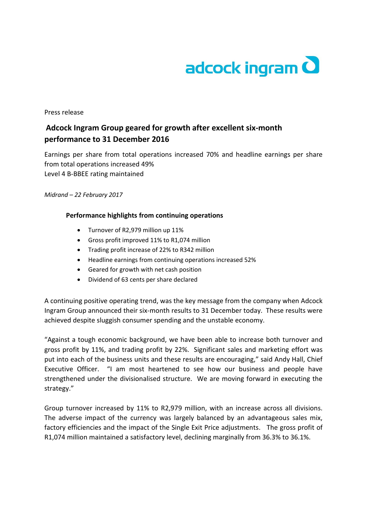

## Press release

## **Adcock Ingram Group geared for growth after excellent six-month performance to 31 December 2016**

Earnings per share from total operations increased 70% and headline earnings per share from total operations increased 49% Level 4 B-BBEE rating maintained

*Midrand – 22 February 2017*

## **Performance highlights from continuing operations**

- Turnover of R2,979 million up 11%
- Gross profit improved 11% to R1,074 million
- Trading profit increase of 22% to R342 million
- Headline earnings from continuing operations increased 52%
- Geared for growth with net cash position
- Dividend of 63 cents per share declared

A continuing positive operating trend, was the key message from the company when Adcock Ingram Group announced their six-month results to 31 December today. These results were achieved despite sluggish consumer spending and the unstable economy.

"Against a tough economic background, we have been able to increase both turnover and gross profit by 11%, and trading profit by 22%. Significant sales and marketing effort was put into each of the business units and these results are encouraging," said Andy Hall, Chief Executive Officer. "I am most heartened to see how our business and people have strengthened under the divisionalised structure. We are moving forward in executing the strategy."

Group turnover increased by 11% to R2,979 million, with an increase across all divisions. The adverse impact of the currency was largely balanced by an advantageous sales mix, factory efficiencies and the impact of the Single Exit Price adjustments. The gross profit of R1,074 million maintained a satisfactory level, declining marginally from 36.3% to 36.1%.